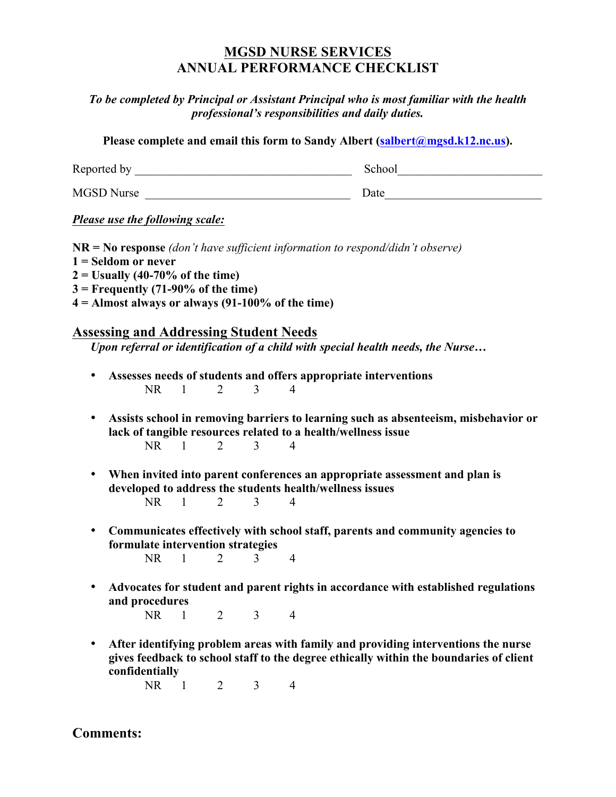# **MGSD NURSE SERVICES ANNUAL PERFORMANCE CHECKLIST**

*To be completed by Principal or Assistant Principal who is most familiar with the health professional's responsibilities and daily duties.*

**Please complete and email this form to Sandy Albert (salbert@mgsd.k12.nc.us).**

Reported by \_\_\_\_\_\_\_\_\_\_\_\_\_\_\_\_\_\_\_\_\_\_\_\_\_\_\_\_\_\_\_\_\_\_\_\_ School\_\_\_\_\_\_\_\_\_\_\_\_\_\_\_\_\_\_\_\_\_\_\_\_

MGSD Nurse \_\_\_\_\_\_\_\_\_\_\_\_\_\_\_\_\_\_\_\_\_\_\_\_\_\_\_\_\_\_\_\_\_\_ Date\_\_\_\_\_\_\_\_\_\_\_\_\_\_\_\_\_\_\_\_\_\_\_\_\_\_

*Please use the following scale:*

**NR = No response** *(don't have sufficient information to respond/didn't observe)* **1 = Seldom or never 2 = Usually (40-70% of the time) 3 = Frequently (71-90% of the time) 4 = Almost always or always (91-100% of the time)**

## **Assessing and Addressing Student Needs**

*Upon referral or identification of a child with special health needs, the Nurse…*

- **Assesses needs of students and offers appropriate interventions** NR 1 2 3 4
- **Assists school in removing barriers to learning such as absenteeism, misbehavior or lack of tangible resources related to a health/wellness issue** NR 1 2 3 4
- **When invited into parent conferences an appropriate assessment and plan is developed to address the students health/wellness issues** NR 1 2 3 4
- **Communicates effectively with school staff, parents and community agencies to formulate intervention strategies** NR 1 2 3 4
- **Advocates for student and parent rights in accordance with established regulations and procedures**

NR 1 2 3 4

• **After identifying problem areas with family and providing interventions the nurse gives feedback to school staff to the degree ethically within the boundaries of client confidentially**

NR 1 2 3 4

**Comments:**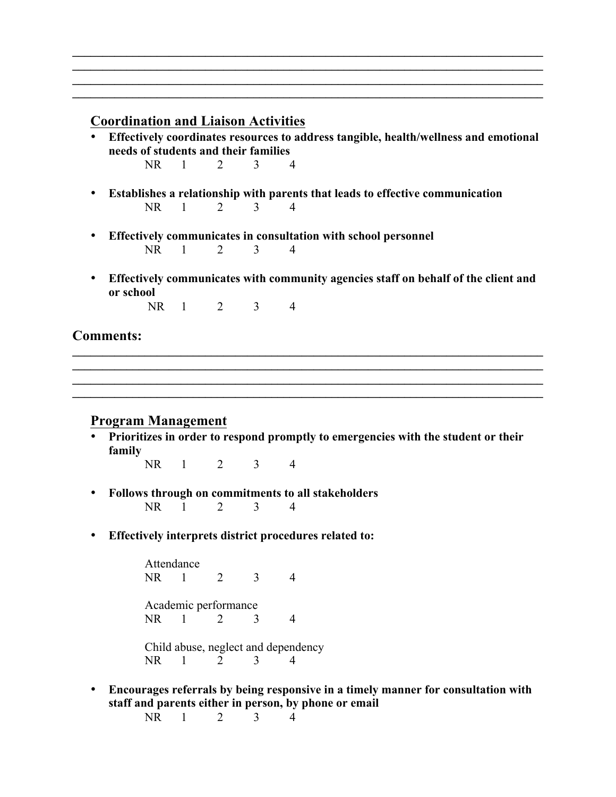### **Coordination and Liaison Activities**

• **Effectively coordinates resources to address tangible, health/wellness and emotional needs of students and their families**

 $\mathcal{L}_\mathcal{L} = \{ \mathcal{L}_\mathcal{L} = \{ \mathcal{L}_\mathcal{L} = \{ \mathcal{L}_\mathcal{L} = \{ \mathcal{L}_\mathcal{L} = \{ \mathcal{L}_\mathcal{L} = \{ \mathcal{L}_\mathcal{L} = \{ \mathcal{L}_\mathcal{L} = \{ \mathcal{L}_\mathcal{L} = \{ \mathcal{L}_\mathcal{L} = \{ \mathcal{L}_\mathcal{L} = \{ \mathcal{L}_\mathcal{L} = \{ \mathcal{L}_\mathcal{L} = \{ \mathcal{L}_\mathcal{L} = \{ \mathcal{L}_\mathcal{$  $\mathcal{L}_\mathcal{L} = \{ \mathcal{L}_\mathcal{L} = \{ \mathcal{L}_\mathcal{L} = \{ \mathcal{L}_\mathcal{L} = \{ \mathcal{L}_\mathcal{L} = \{ \mathcal{L}_\mathcal{L} = \{ \mathcal{L}_\mathcal{L} = \{ \mathcal{L}_\mathcal{L} = \{ \mathcal{L}_\mathcal{L} = \{ \mathcal{L}_\mathcal{L} = \{ \mathcal{L}_\mathcal{L} = \{ \mathcal{L}_\mathcal{L} = \{ \mathcal{L}_\mathcal{L} = \{ \mathcal{L}_\mathcal{L} = \{ \mathcal{L}_\mathcal{$  $\mathcal{L}_\mathcal{L} = \{ \mathcal{L}_\mathcal{L} = \{ \mathcal{L}_\mathcal{L} = \{ \mathcal{L}_\mathcal{L} = \{ \mathcal{L}_\mathcal{L} = \{ \mathcal{L}_\mathcal{L} = \{ \mathcal{L}_\mathcal{L} = \{ \mathcal{L}_\mathcal{L} = \{ \mathcal{L}_\mathcal{L} = \{ \mathcal{L}_\mathcal{L} = \{ \mathcal{L}_\mathcal{L} = \{ \mathcal{L}_\mathcal{L} = \{ \mathcal{L}_\mathcal{L} = \{ \mathcal{L}_\mathcal{L} = \{ \mathcal{L}_\mathcal{$  $\mathcal{L}_\mathcal{L} = \{ \mathcal{L}_\mathcal{L} = \{ \mathcal{L}_\mathcal{L} = \{ \mathcal{L}_\mathcal{L} = \{ \mathcal{L}_\mathcal{L} = \{ \mathcal{L}_\mathcal{L} = \{ \mathcal{L}_\mathcal{L} = \{ \mathcal{L}_\mathcal{L} = \{ \mathcal{L}_\mathcal{L} = \{ \mathcal{L}_\mathcal{L} = \{ \mathcal{L}_\mathcal{L} = \{ \mathcal{L}_\mathcal{L} = \{ \mathcal{L}_\mathcal{L} = \{ \mathcal{L}_\mathcal{L} = \{ \mathcal{L}_\mathcal{$ 

- NR 1 2 3 4
- **Establishes a relationship with parents that leads to effective communication**<br>NR  $\frac{1}{2}$   $\frac{2}{3}$   $\frac{3}{4}$ NR 1 2 3 4
- **Effectively communicates in consultation with school personnel**<br>NR 1 2 3 4 NR 1 2 3 4
- **Effectively communicates with community agencies staff on behalf of the client and or school**

NR 1 2 3 4

#### **Comments:**

#### **Program Management**

• **Prioritizes in order to respond promptly to emergencies with the student or their family**

 $\mathcal{L}_\mathcal{L} = \{ \mathcal{L}_\mathcal{L} = \{ \mathcal{L}_\mathcal{L} = \{ \mathcal{L}_\mathcal{L} = \{ \mathcal{L}_\mathcal{L} = \{ \mathcal{L}_\mathcal{L} = \{ \mathcal{L}_\mathcal{L} = \{ \mathcal{L}_\mathcal{L} = \{ \mathcal{L}_\mathcal{L} = \{ \mathcal{L}_\mathcal{L} = \{ \mathcal{L}_\mathcal{L} = \{ \mathcal{L}_\mathcal{L} = \{ \mathcal{L}_\mathcal{L} = \{ \mathcal{L}_\mathcal{L} = \{ \mathcal{L}_\mathcal{$  $\mathcal{L}_\mathcal{L} = \{ \mathcal{L}_\mathcal{L} = \{ \mathcal{L}_\mathcal{L} = \{ \mathcal{L}_\mathcal{L} = \{ \mathcal{L}_\mathcal{L} = \{ \mathcal{L}_\mathcal{L} = \{ \mathcal{L}_\mathcal{L} = \{ \mathcal{L}_\mathcal{L} = \{ \mathcal{L}_\mathcal{L} = \{ \mathcal{L}_\mathcal{L} = \{ \mathcal{L}_\mathcal{L} = \{ \mathcal{L}_\mathcal{L} = \{ \mathcal{L}_\mathcal{L} = \{ \mathcal{L}_\mathcal{L} = \{ \mathcal{L}_\mathcal{$  $\mathcal{L}_\mathcal{L} = \{ \mathcal{L}_\mathcal{L} = \{ \mathcal{L}_\mathcal{L} = \{ \mathcal{L}_\mathcal{L} = \{ \mathcal{L}_\mathcal{L} = \{ \mathcal{L}_\mathcal{L} = \{ \mathcal{L}_\mathcal{L} = \{ \mathcal{L}_\mathcal{L} = \{ \mathcal{L}_\mathcal{L} = \{ \mathcal{L}_\mathcal{L} = \{ \mathcal{L}_\mathcal{L} = \{ \mathcal{L}_\mathcal{L} = \{ \mathcal{L}_\mathcal{L} = \{ \mathcal{L}_\mathcal{L} = \{ \mathcal{L}_\mathcal{$  $\mathcal{L}_\mathcal{L} = \{ \mathcal{L}_\mathcal{L} = \{ \mathcal{L}_\mathcal{L} = \{ \mathcal{L}_\mathcal{L} = \{ \mathcal{L}_\mathcal{L} = \{ \mathcal{L}_\mathcal{L} = \{ \mathcal{L}_\mathcal{L} = \{ \mathcal{L}_\mathcal{L} = \{ \mathcal{L}_\mathcal{L} = \{ \mathcal{L}_\mathcal{L} = \{ \mathcal{L}_\mathcal{L} = \{ \mathcal{L}_\mathcal{L} = \{ \mathcal{L}_\mathcal{L} = \{ \mathcal{L}_\mathcal{L} = \{ \mathcal{L}_\mathcal{$ 

NR 1 2 3 4

- **Follows through on commitments to all stakeholders**<br>NR 1 2 3 4 NR 1 2 3 4
- **Effectively interprets district procedures related to:**

Attendance NR 1 2 3 4 Academic performance NR 1 2 3 4 Child abuse, neglect and dependency NR 1 2 3 4

• **Encourages referrals by being responsive in a timely manner for consultation with staff and parents either in person, by phone or email**

NR 1 2 3 4